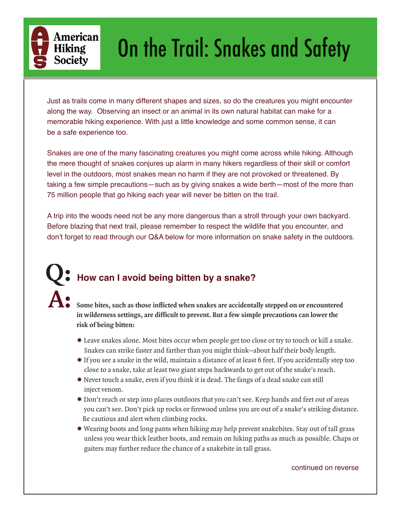

# On the Trail: Snakes and Safety

Just as trails come in many different shapes and sizes, so do the creatures you might encounter along the way. Observing an insect or an animal in its own natural habitat can make for a memorable hiking experience. With just a little knowledge and some common sense, it can be a safe experience too.

Snakes are one of the many fascinating creatures you might come across while hiking. Although the mere thought of snakes conjures up alarm in many hikers regardless of their skill or comfort level in the outdoors, most snakes mean no harm if they are not provoked or threatened. By taking a few simple precautions—such as by giving snakes a wide berth—most of the more than 75 million people that go hiking each year will never be bitten on the trail.

A trip into the woods need not be any more dangerous than a stroll through your own backyard. Before blazing that next trail, please remember to respect the wildlife that you encounter, and don't forget to read through our Q&A below for more information on snake safety in the outdoors.

## **Q: How can I avoid being bitten by a snake? A:**

Some bites, such as those inflicted when snakes are accidentally stepped on or encountered in wilderness settings, are difficult to prevent. But a few simple precautions can lower the **risk of being bitten:**

- ✹ Leave snakes alone. Most bites occur when people get too close or try to touch or kill a snake. Snakes can strike faster and farther than you might think--about half their body length.
- ✹ If you see a snake in the wild, maintain a distance of at least 6 feet. If you accidentally step too close to a snake, take at least two giant steps backwards to get out of the snake's reach.
- ✹ Never touch a snake, even if you think it is dead. The fangs of a dead snake can still inject venom.
- ✹ Don't reach or step into places outdoors that you can't see. Keep hands and feet out of areas you can't see. Don't pick up rocks or firewood unless you are out of a snake's striking distance. Be cautious and alert when climbing rocks.
- ✹ Wearing boots and long pants when hiking may help prevent snakebites. Stay out of tall grass unless you wear thick leather boots, and remain on hiking paths as much as possible. Chaps or gaiters may further reduce the chance of a snakebite in tall grass.

continued on reverse